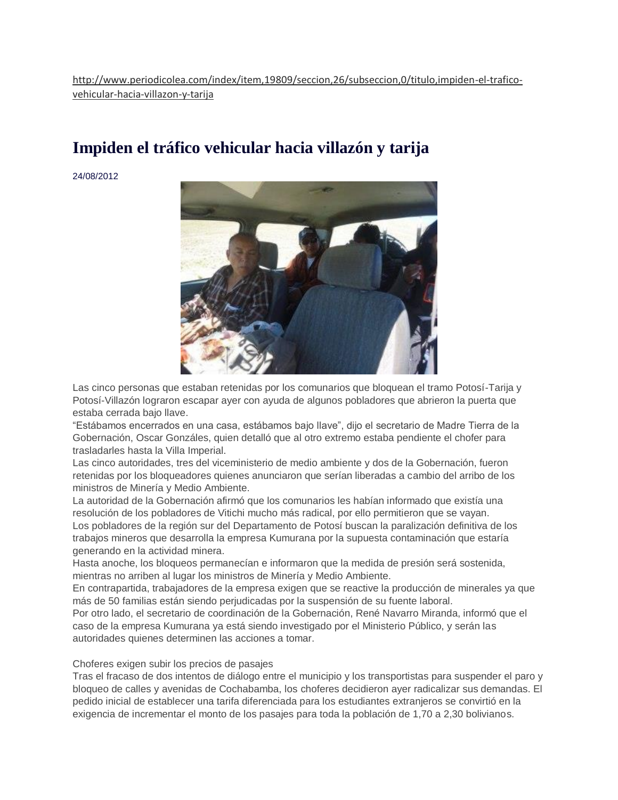# **[Impiden el tráfico vehicular hacia villazón y tarija](http://www.periodicolea.com/index/item,19809/seccion,26/subseccion,0/titulo,impiden-el-trafico-vehicular-hacia-villazon-y-tarija)**

24/08/2012



Las cinco personas que estaban retenidas por los comunarios que bloquean el tramo Potosí-Tarija y Potosí-Villazón lograron escapar ayer con ayuda de algunos pobladores que abrieron la puerta que estaba cerrada bajo llave.

"Estábamos encerrados en una casa, estábamos bajo llave", dijo el secretario de Madre Tierra de la Gobernación, Oscar Gonzáles, quien detalló que al otro extremo estaba pendiente el chofer para trasladarles hasta la Villa Imperial.

Las cinco autoridades, tres del viceministerio de medio ambiente y dos de la Gobernación, fueron retenidas por los bloqueadores quienes anunciaron que serían liberadas a cambio del arribo de los ministros de Minería y Medio Ambiente.

La autoridad de la Gobernación afirmó que los comunarios les habían informado que existía una resolución de los pobladores de Vitichi mucho más radical, por ello permitieron que se vayan. Los pobladores de la región sur del Departamento de Potosí buscan la paralización definitiva de los trabajos mineros que desarrolla la empresa Kumurana por la supuesta contaminación que estaría generando en la actividad minera.

Hasta anoche, los bloqueos permanecían e informaron que la medida de presión será sostenida, mientras no arriben al lugar los ministros de Minería y Medio Ambiente.

En contrapartida, trabajadores de la empresa exigen que se reactive la producción de minerales ya que más de 50 familias están siendo perjudicadas por la suspensión de su fuente laboral.

Por otro lado, el secretario de coordinación de la Gobernación, René Navarro Miranda, informó que el caso de la empresa Kumurana ya está siendo investigado por el Ministerio Público, y serán las autoridades quienes determinen las acciones a tomar.

### Choferes exigen subir los precios de pasajes

Tras el fracaso de dos intentos de diálogo entre el municipio y los transportistas para suspender el paro y bloqueo de calles y avenidas de Cochabamba, los choferes decidieron ayer radicalizar sus demandas. El pedido inicial de establecer una tarifa diferenciada para los estudiantes extranjeros se convirtió en la exigencia de incrementar el monto de los pasajes para toda la población de 1,70 a 2,30 bolivianos.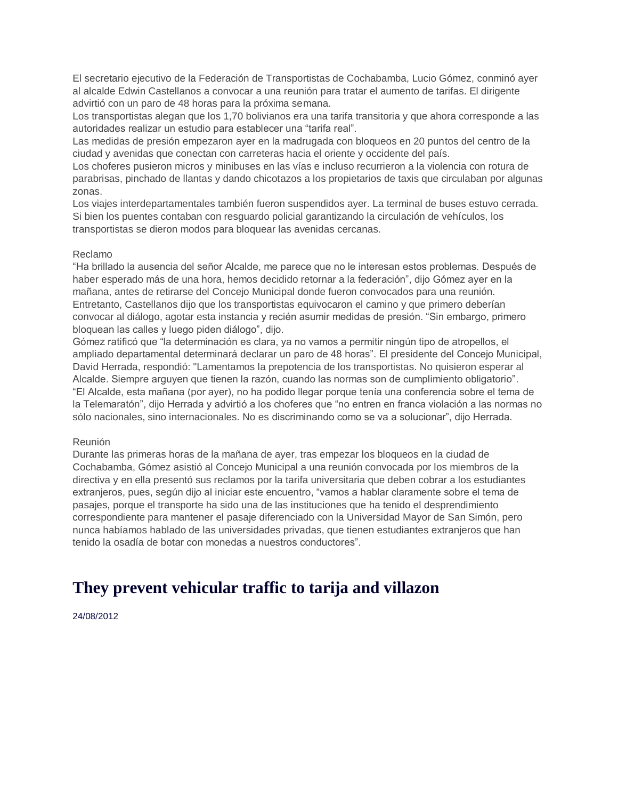El secretario ejecutivo de la Federación de Transportistas de Cochabamba, Lucio Gómez, conminó ayer al alcalde Edwin Castellanos a convocar a una reunión para tratar el aumento de tarifas. El dirigente advirtió con un paro de 48 horas para la próxima semana.

Los transportistas alegan que los 1,70 bolivianos era una tarifa transitoria y que ahora corresponde a las autoridades realizar un estudio para establecer una "tarifa real".

Las medidas de presión empezaron ayer en la madrugada con bloqueos en 20 puntos del centro de la ciudad y avenidas que conectan con carreteras hacia el oriente y occidente del país.

Los choferes pusieron micros y minibuses en las vías e incluso recurrieron a la violencia con rotura de parabrisas, pinchado de llantas y dando chicotazos a los propietarios de taxis que circulaban por algunas zonas.

Los viajes interdepartamentales también fueron suspendidos ayer. La terminal de buses estuvo cerrada. Si bien los puentes contaban con resguardo policial garantizando la circulación de vehículos, los transportistas se dieron modos para bloquear las avenidas cercanas.

### Reclamo

"Ha brillado la ausencia del señor Alcalde, me parece que no le interesan estos problemas. Después de haber esperado más de una hora, hemos decidido retornar a la federación", dijo Gómez ayer en la mañana, antes de retirarse del Concejo Municipal donde fueron convocados para una reunión. Entretanto, Castellanos dijo que los transportistas equivocaron el camino y que primero deberían convocar al diálogo, agotar esta instancia y recién asumir medidas de presión. "Sin embargo, primero bloquean las calles y luego piden diálogo", dijo.

Gómez ratificó que "la determinación es clara, ya no vamos a permitir ningún tipo de atropellos, el ampliado departamental determinará declarar un paro de 48 horas". El presidente del Concejo Municipal, David Herrada, respondió: "Lamentamos la prepotencia de los transportistas. No quisieron esperar al Alcalde. Siempre arguyen que tienen la razón, cuando las normas son de cumplimiento obligatorio". "El Alcalde, esta mañana (por ayer), no ha podido llegar porque tenía una conferencia sobre el tema de la Telemaratón", dijo Herrada y advirtió a los choferes que "no entren en franca violación a las normas no sólo nacionales, sino internacionales. No es discriminando como se va a solucionar", dijo Herrada.

#### Reunión

Durante las primeras horas de la mañana de ayer, tras empezar los bloqueos en la ciudad de Cochabamba, Gómez asistió al Concejo Municipal a una reunión convocada por los miembros de la directiva y en ella presentó sus reclamos por la tarifa universitaria que deben cobrar a los estudiantes extranjeros, pues, según dijo al iniciar este encuentro, "vamos a hablar claramente sobre el tema de pasajes, porque el transporte ha sido una de las instituciones que ha tenido el desprendimiento correspondiente para mantener el pasaje diferenciado con la Universidad Mayor de San Simón, pero nunca habíamos hablado de las universidades privadas, que tienen estudiantes extranjeros que han tenido la osadía de botar con monedas a nuestros conductores".

## **[They prevent vehicular traffic to tarija and villazon](http://www.microsofttranslator.com/bv.aspx?from=es&to=en&a=http%3A%2F%2Fwww.periodicolea.com%2Findex%2Fitem%2C19809%2Fseccion%2C26%2Fsubseccion%2C0%2Ftitulo%2Cimpiden-el-trafico-vehicular-hacia-villazon-y-tarija)**

24/08/2012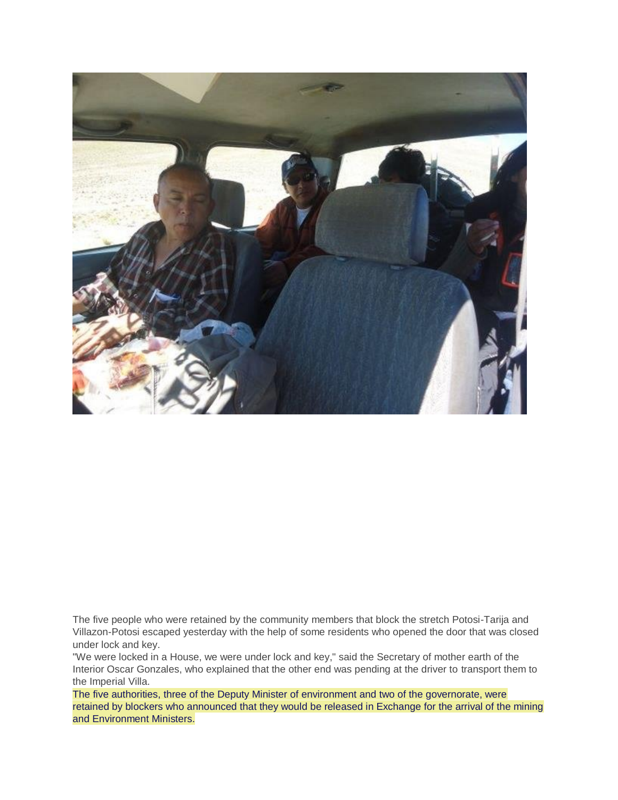

The five people who were retained by the community members that block the stretch Potosi-Tarija and Villazon-Potosi escaped yesterday with the help of some residents who opened the door that was closed under lock and key.

"We were locked in a House, we were under lock and key," said the Secretary of mother earth of the Interior Oscar Gonzales, who explained that the other end was pending at the driver to transport them to the Imperial Villa.

The five authorities, three of the Deputy Minister of environment and two of the governorate, were retained by blockers who announced that they would be released in Exchange for the arrival of the mining and Environment Ministers.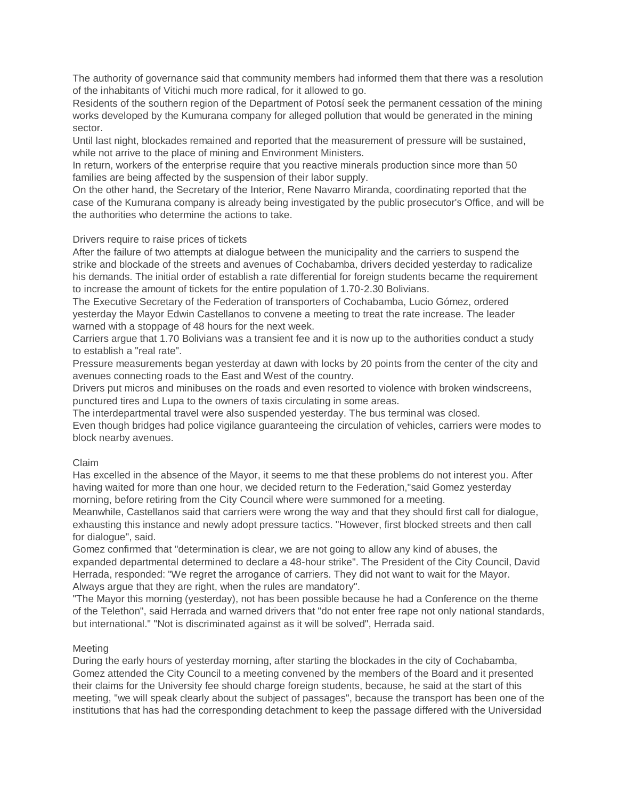The authority of governance said that community members had informed them that there was a resolution of the inhabitants of Vitichi much more radical, for it allowed to go.

Residents of the southern region of the Department of Potosí seek the permanent cessation of the mining works developed by the Kumurana company for alleged pollution that would be generated in the mining sector.

Until last night, blockades remained and reported that the measurement of pressure will be sustained, while not arrive to the place of mining and Environment Ministers.

In return, workers of the enterprise require that you reactive minerals production since more than 50 families are being affected by the suspension of their labor supply.

On the other hand, the Secretary of the Interior, Rene Navarro Miranda, coordinating reported that the case of the Kumurana company is already being investigated by the public prosecutor's Office, and will be the authorities who determine the actions to take.

### Drivers require to raise prices of tickets

After the failure of two attempts at dialogue between the municipality and the carriers to suspend the strike and blockade of the streets and avenues of Cochabamba, drivers decided yesterday to radicalize his demands. The initial order of establish a rate differential for foreign students became the requirement to increase the amount of tickets for the entire population of 1.70-2.30 Bolivians.

The Executive Secretary of the Federation of transporters of Cochabamba, Lucio Gómez, ordered yesterday the Mayor Edwin Castellanos to convene a meeting to treat the rate increase. The leader warned with a stoppage of 48 hours for the next week.

Carriers argue that 1.70 Bolivians was a transient fee and it is now up to the authorities conduct a study to establish a "real rate".

Pressure measurements began yesterday at dawn with locks by 20 points from the center of the city and avenues connecting roads to the East and West of the country.

Drivers put micros and minibuses on the roads and even resorted to violence with broken windscreens, punctured tires and Lupa to the owners of taxis circulating in some areas.

The interdepartmental travel were also suspended yesterday. The bus terminal was closed.

Even though bridges had police vigilance guaranteeing the circulation of vehicles, carriers were modes to block nearby avenues.

### Claim

Has excelled in the absence of the Mayor, it seems to me that these problems do not interest you. After having waited for more than one hour, we decided return to the Federation,"said Gomez yesterday morning, before retiring from the City Council where were summoned for a meeting.

Meanwhile, Castellanos said that carriers were wrong the way and that they should first call for dialogue, exhausting this instance and newly adopt pressure tactics. "However, first blocked streets and then call for dialogue", said.

Gomez confirmed that "determination is clear, we are not going to allow any kind of abuses, the expanded departmental determined to declare a 48-hour strike". The President of the City Council, David Herrada, responded: "We regret the arrogance of carriers. They did not want to wait for the Mayor. Always argue that they are right, when the rules are mandatory".

"The Mayor this morning (yesterday), not has been possible because he had a Conference on the theme of the Telethon", said Herrada and warned drivers that "do not enter free rape not only national standards, but international." "Not is discriminated against as it will be solved", Herrada said.

### Meeting

During the early hours of yesterday morning, after starting the blockades in the city of Cochabamba, Gomez attended the City Council to a meeting convened by the members of the Board and it presented their claims for the University fee should charge foreign students, because, he said at the start of this meeting, "we will speak clearly about the subject of passages", because the transport has been one of the institutions that has had the corresponding detachment to keep the passage differed with the Universidad